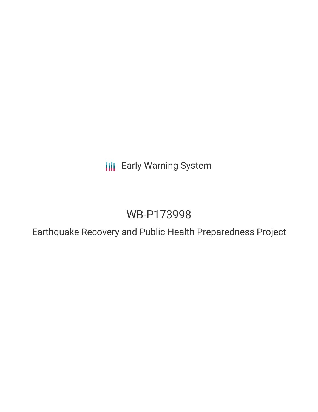**III** Early Warning System

## WB-P173998

Earthquake Recovery and Public Health Preparedness Project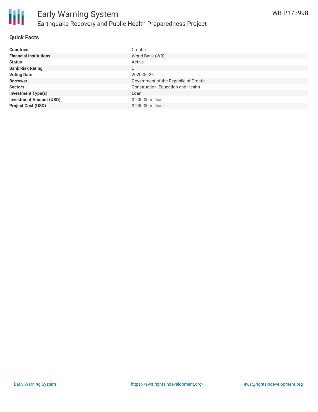

#### **Quick Facts**

| <b>Countries</b>               | Croatia                               |
|--------------------------------|---------------------------------------|
| <b>Financial Institutions</b>  | World Bank (WB)                       |
| <b>Status</b>                  | Active                                |
| <b>Bank Risk Rating</b>        | U                                     |
| <b>Voting Date</b>             | 2020-06-26                            |
| <b>Borrower</b>                | Government of the Republic of Croatia |
| <b>Sectors</b>                 | Construction, Education and Health    |
| <b>Investment Type(s)</b>      | Loan                                  |
| <b>Investment Amount (USD)</b> | \$200.00 million                      |
| <b>Project Cost (USD)</b>      | \$200.00 million                      |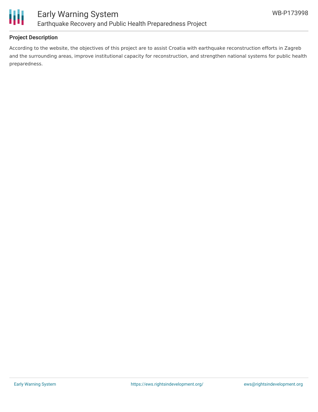

#### **Project Description**

According to the website, the objectives of this project are to assist Croatia with earthquake reconstruction efforts in Zagreb and the surrounding areas, improve institutional capacity for reconstruction, and strengthen national systems for public health preparedness.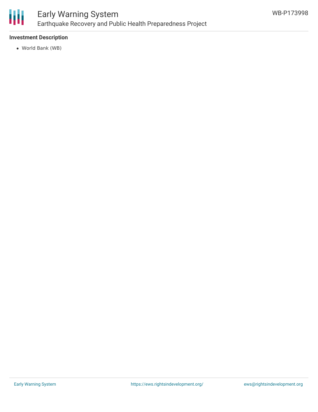

## Early Warning System Earthquake Recovery and Public Health Preparedness Project

#### **Investment Description**

World Bank (WB)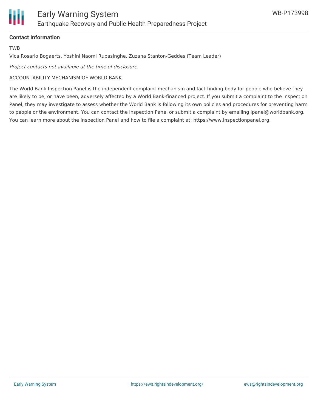#### **Contact Information**

TWB

Vica Rosario Bogaerts, Yoshini Naomi Rupasinghe, Zuzana Stanton-Geddes (Team Leader)

Project contacts not available at the time of disclosure.

#### ACCOUNTABILITY MECHANISM OF WORLD BANK

The World Bank Inspection Panel is the independent complaint mechanism and fact-finding body for people who believe they are likely to be, or have been, adversely affected by a World Bank-financed project. If you submit a complaint to the Inspection Panel, they may investigate to assess whether the World Bank is following its own policies and procedures for preventing harm to people or the environment. You can contact the Inspection Panel or submit a complaint by emailing ipanel@worldbank.org. You can learn more about the Inspection Panel and how to file a complaint at: https://www.inspectionpanel.org.